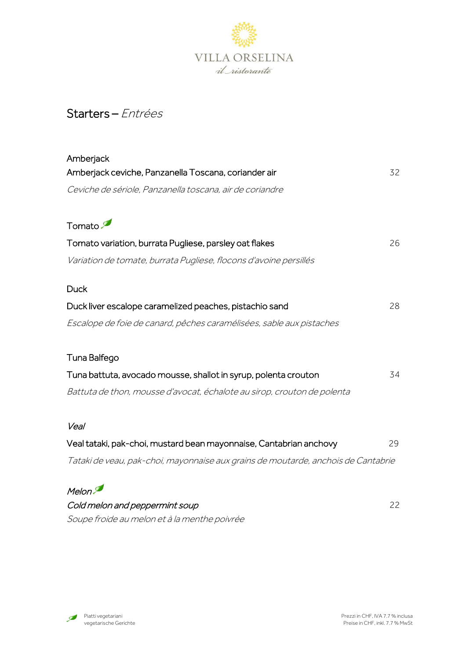

# Starters – Entrées

| Amberjack                                                                         |    |
|-----------------------------------------------------------------------------------|----|
| Amberjack ceviche, Panzanella Toscana, coriander air                              | 32 |
| Ceviche de sériole, Panzanella toscana, air de coriandre                          |    |
| Tomato                                                                            |    |
| Tomato variation, burrata Pugliese, parsley oat flakes                            | 26 |
| Variation de tomate, burrata Pugliese, flocons d'avoine persillés                 |    |
| <b>Duck</b>                                                                       |    |
| Duck liver escalope caramelized peaches, pistachio sand                           | 28 |
| Escalope de foie de canard, pêches caramélisées, sable aux pistaches              |    |
| Tuna Balfego                                                                      |    |
| Tuna battuta, avocado mousse, shallot in syrup, polenta crouton                   | 34 |
| Battuta de thon, mousse d'avocat, échalote au sirop, crouton de polenta           |    |
| Veal                                                                              |    |
| Veal tataki, pak-choi, mustard bean mayonnaise, Cantabrian anchovy                | 29 |
| Tataki de veau, pak-choi, mayonnaise aux grains de moutarde, anchois de Cantabrie |    |
| Melon.                                                                            |    |
| Cold melon and peppermint soup                                                    | 22 |
| Soupe froide au melon et à la menthe poivrée                                      |    |

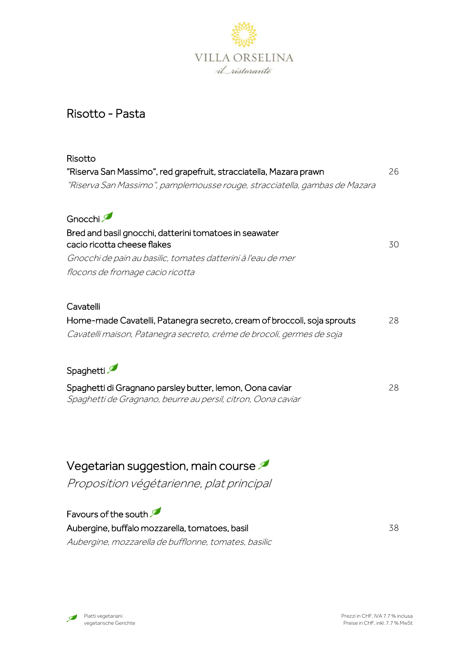

### Risotto - Pasta

| Risotto                                                                               |    |
|---------------------------------------------------------------------------------------|----|
| "Riserva San Massimo", red grapefruit, stracciatella, Mazara prawn                    | 26 |
| "Riserva San Massimo", pamplemousse rouge, stracciatella, gambas de Mazara            |    |
| Gnocchi                                                                               |    |
| Bred and basil gnocchi, datterini tomatoes in seawater<br>cacio ricotta cheese flakes | 30 |
| Gnocchi de pain au basilic, tomates datterini à l'eau de mer                          |    |
| flocons de fromage cacio ricotta                                                      |    |
| Cavatelli                                                                             |    |
| Home-made Cavatelli, Patanegra secreto, cream of broccoli, soja sprouts               | 28 |
| Cavatelli maison, Patanegra secreto, crème de brocoli, germes de soja                 |    |
| Spaghetti                                                                             |    |
| Spaghetti di Gragnano parsley butter, lemon, Oona caviar                              | 28 |
| Spaghetti de Gragnano, beurre au persil, citron, Oona caviar                          |    |
|                                                                                       |    |
|                                                                                       |    |
|                                                                                       |    |

Vegetarian suggestion, main course

Proposition végétarienne, plat principal

Favours of the south Aubergine, buffalo mozzarella, tomatoes, basil 38 Aubergine, mozzarella de bufflonne, tomates, basilic

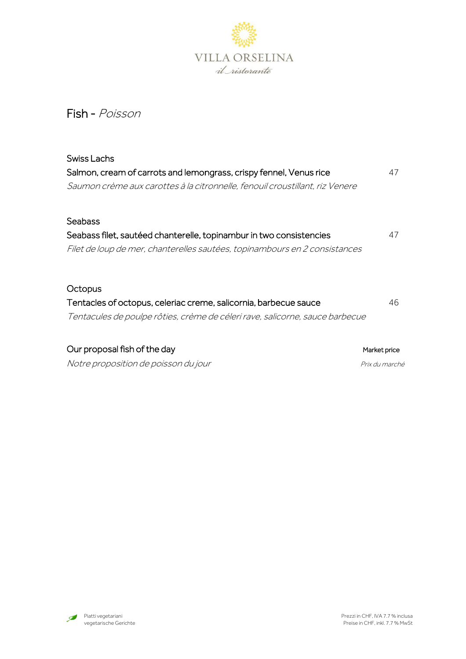

## Fish - Poisson

| Swiss Lachs                                                                  |                |
|------------------------------------------------------------------------------|----------------|
| Salmon, cream of carrots and lemongrass, crispy fennel, Venus rice           | 47             |
| Saumon crème aux carottes à la citronnelle, fenouil croustillant, riz Venere |                |
| <b>Seabass</b>                                                               |                |
| Seabass filet, sautéed chanterelle, topinambur in two consistencies          | 47             |
| Filet de loup de mer, chanterelles sautées, topinambours en 2 consistances   |                |
| Octopus                                                                      |                |
| Tentacles of octopus, celeriac creme, salicornia, barbecue sauce             | 46             |
| Tentacules de poulpe rôties, crème de céleri rave, salicorne, sauce barbecue |                |
| Our proposal fish of the day                                                 | Market price   |
| Notre proposition de poisson du jour                                         | Prix du marché |

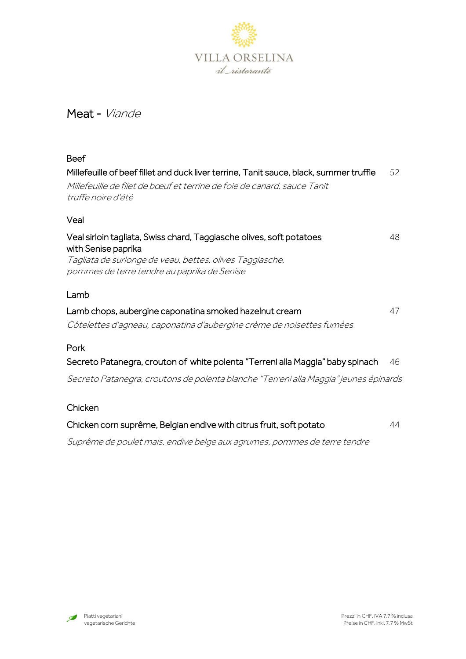

### Meat - Viande

| <b>Beef</b>                                                                                                                                                                                            |    |
|--------------------------------------------------------------------------------------------------------------------------------------------------------------------------------------------------------|----|
| Millefeuille of beef fillet and duck liver terrine, Tanit sauce, black, summer truffle<br>Millefeuille de filet de bœuf et terrine de foie de canard, sauce Tanit<br>truffe noire d'été                | 52 |
| Veal                                                                                                                                                                                                   |    |
| Veal sirloin tagliata, Swiss chard, Taggiasche olives, soft potatoes<br>with Senise paprika<br>Tagliata de surlonge de veau, bettes, olives Taggiasche,<br>pommes de terre tendre au paprika de Senise | 48 |
| Lamb                                                                                                                                                                                                   |    |
| Lamb chops, aubergine caponatina smoked hazelnut cream<br>Côtelettes d'agneau, caponatina d'aubergine crème de noisettes fumées                                                                        | 47 |
| Pork                                                                                                                                                                                                   |    |
| Secreto Patanegra, crouton of white polenta "Terreni alla Maggia" baby spinach                                                                                                                         | 46 |
| Secreto Patanegra, croutons de polenta blanche "Terreni alla Maggia" jeunes épinards                                                                                                                   |    |
| Chicken                                                                                                                                                                                                |    |
| Chicken corn suprême, Belgian endive with citrus fruit, soft potato                                                                                                                                    | 44 |

Suprême de poulet mais, endive belge aux agrumes, pommes de terre tendre

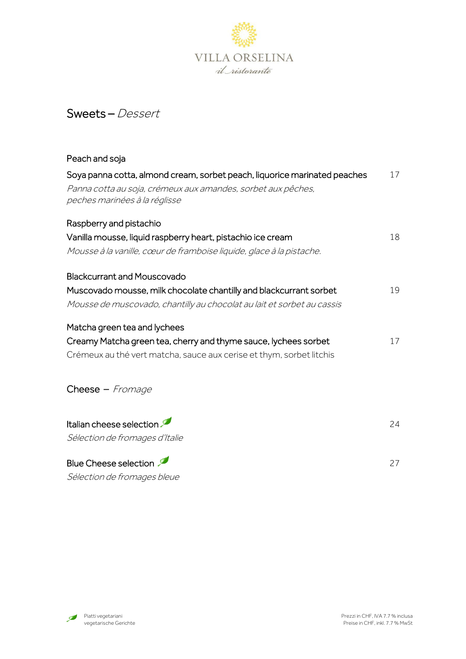

## Sweets – Dessert

| Peach and soja                                                                                                                                                             |    |
|----------------------------------------------------------------------------------------------------------------------------------------------------------------------------|----|
| Soya panna cotta, almond cream, sorbet peach, liquorice marinated peaches<br>Panna cotta au soja, crémeux aux amandes, sorbet aux pêches,<br>peches marinées à la réglisse | 17 |
| Raspberry and pistachio                                                                                                                                                    |    |
| Vanilla mousse, liquid raspberry heart, pistachio ice cream                                                                                                                | 18 |
| Mousse à la vanille, cœur de framboise liquide, glace à la pistache.                                                                                                       |    |
| <b>Blackcurrant and Mouscovado</b>                                                                                                                                         |    |
| Muscovado mousse, milk chocolate chantilly and blackcurrant sorbet                                                                                                         | 19 |
| Mousse de muscovado, chantilly au chocolat au lait et sorbet au cassis                                                                                                     |    |
| Matcha green tea and lychees                                                                                                                                               |    |
| Creamy Matcha green tea, cherry and thyme sauce, lychees sorbet                                                                                                            | 17 |
| Crémeux au thé vert matcha, sauce aux cerise et thym, sorbet litchis                                                                                                       |    |
| Cheese - Fromage                                                                                                                                                           |    |
| Italian cheese selection                                                                                                                                                   | 24 |
| Sélection de fromages d'Italie                                                                                                                                             |    |
| <b>Blue Cheese selection</b>                                                                                                                                               | 27 |

Sélection de fromages bleue